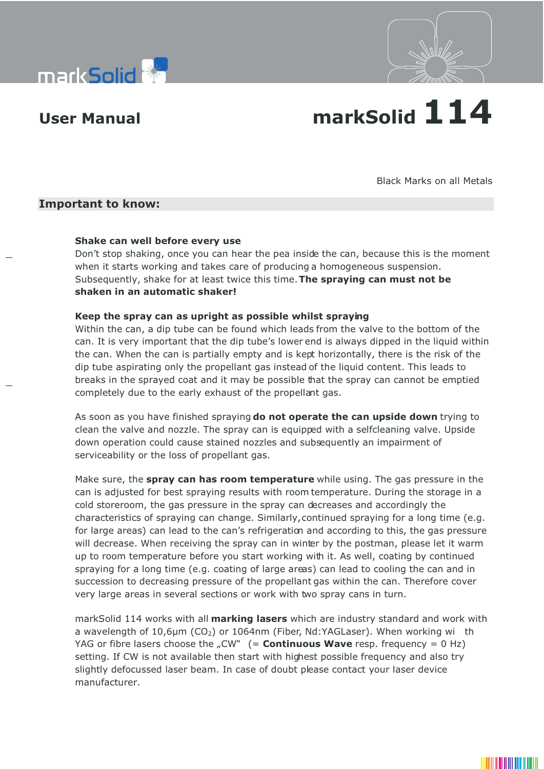



# **User Manual markSolid 114**

Black Marks on all Metals

## **Important to know:**

#### **Shake can well before every use**

Don't stop shaking, once you can hear the pea inside the can, because this is the moment when it starts working and takes care of producing a homogeneous suspension. Subsequently, shake for at least twice this time. **The spraying can must not be shaken in an automatic shaker!**

#### **Keep the spray can as upright as possible whilst spraying**

Within the can, a dip tube can be found which leads from the valve to the bottom of the can. It is very important that the dip tube's lower end is always dipped in the liquid within the can. When the can is partially empty and is kept horizontally, there is the risk of the dip tube aspirating only the propellant gas instead of the liquid content. This leads to breaks in the sprayed coat and it may be possible that the spray can cannot be emptied completely due to the early exhaust of the propellant gas.

As soon as you have finished spraying **do not operate the can upside down** trying to clean the valve and nozzle. The spray can is equipped with a selfcleaning valve. Upside down operation could cause stained nozzles and subsequently an impairment of serviceability or the loss of propellant gas.

Make sure, the **spray can has room temperature** while using. The gas pressure in the can is adjusted for best spraying results with room temperature. During the storage in a cold storeroom, the gas pressure in the spray can decreases and accordingly the characteristics of spraying can change. Similarly, continued spraying for a long time (e.g. for large areas) can lead to the can's refrigeration and according to this, the gas pressure will decrease. When receiving the spray can in winter by the postman, please let it warm up to room temperature before you start working with it. As well, coating by continued spraying for a long time (e.g. coating of large areas) can lead to cooling the can and in succession to decreasing pressure of the propellant gas within the can. Therefore cover very large areas in several sections or work with two spray cans in turn.

markSolid 114 works with all **marking lasers** which are industry standard and work with a wavelength of  $10,6\mu$ m (CO<sub>2</sub>) or 1064nm (Fiber, Nd:YAGLaser). When working wi th YAG or fibre lasers choose the "CW"  $($  = **Continuous Wave** resp. frequency = 0 Hz) setting. If CW is not available then start with highest possible frequency and also try slightly defocussed laser beam. In case of doubt please contact your laser device manufacturer.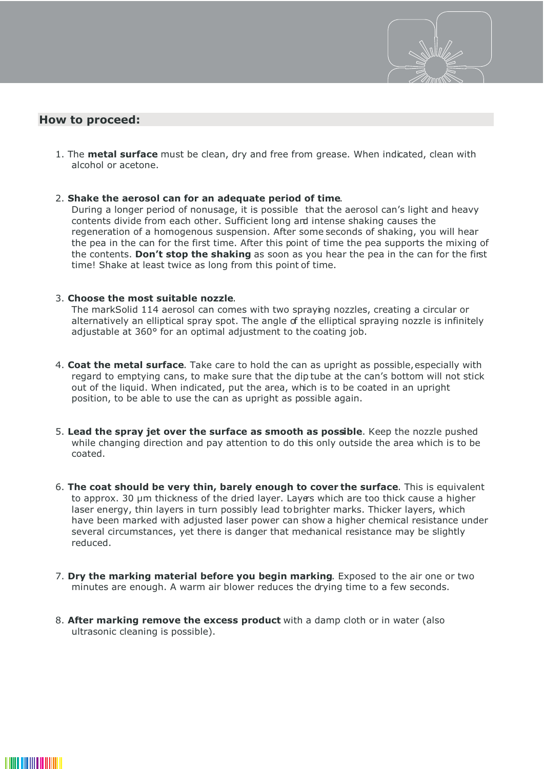

# **How to proceed:**

1. The **metal surface** must be clean, dry and free from grease. When indicated, clean with alcohol or acetone.

#### 2. **Shake the aerosol can for an adequate period of time**.

During a longer period of nonusage, it is possible that the aerosol can's light and heavy contents divide from each other. Sufficient long and intense shaking causes the regeneration of a homogenous suspension. After some seconds of shaking, you will hear the pea in the can for the first time. After this point of time the pea supports the mixing of the contents. **Don't stop the shaking** as soon as you hear the pea in the can for the first time! Shake at least twice as long from this point of time.

#### 3. **Choose the most suitable nozzle**.

The markSolid 114 aerosol can comes with two spraying nozzles, creating a circular or alternatively an elliptical spray spot. The angle of the elliptical spraying nozzle is infinitely adjustable at 360° for an optimal adjustment to the coating job.

- 4. **Coat the metal surface**. Take care to hold the can as upright as possible, especially with regard to emptying cans, to make sure that the dip tube at the can's bottom will not stick out of the liquid. When indicated, put the area, which is to be coated in an upright position, to be able to use the can as upright as possible again.
- 5. **Lead the spray jet over the surface as smooth as possible**. Keep the nozzle pushed while changing direction and pay attention to do this only outside the area which is to be coated.
- 6. **The coat should be very thin, barely enough to cover the surface**. This is equivalent to approx. 30 µm thickness of the dried layer. Layers which are too thick cause a higher laser energy, thin layers in turn possibly lead tobrighter marks. Thicker layers, which have been marked with adjusted laser power can show a higher chemical resistance under several circumstances, yet there is danger that mechanical resistance may be slightly reduced.
- 7. **Dry the marking material before you begin marking**. Exposed to the air one or two minutes are enough. A warm air blower reduces the drying time to a few seconds.
- 8. **After marking remove the excess product** with a damp cloth or in water (also ultrasonic cleaning is possible).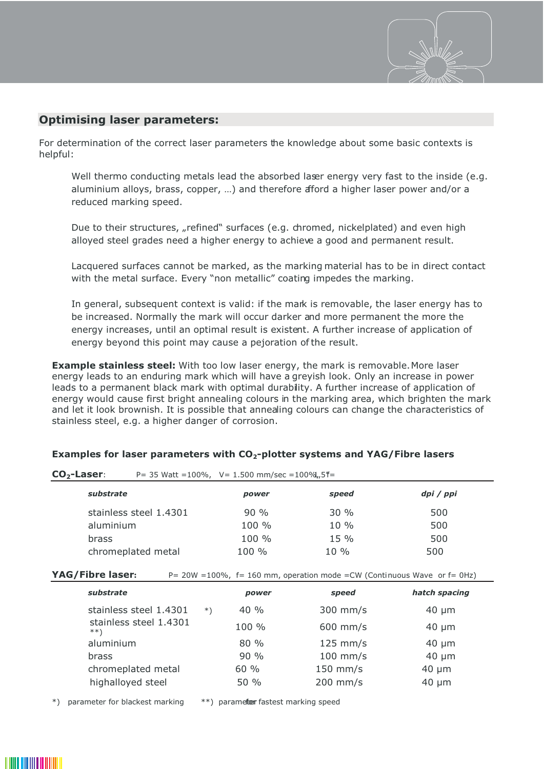

# **Optimising laser parameters:**

For determination of the correct laser parameters the knowledge about some basic contexts is helpful:

Well thermo conducting metals lead the absorbed laser energy very fast to the inside (e.g. aluminium alloys, brass, copper, …) and therefore afford a higher laser power and/or a reduced marking speed.

Due to their structures, "refined" surfaces (e.g. chromed, nickelplated) and even high alloyed steel grades need a higher energy to achieve a good and permanent result.

Lacquered surfaces cannot be marked, as the marking material has to be in direct contact with the metal surface. Every "non metallic" coating impedes the marking.

In general, subsequent context is valid: if the mark is removable, the laser energy has to be increased. Normally the mark will occur darker and more permanent the more the energy increases, until an optimal result is existent. A further increase of application of energy beyond this point may cause a pejoration of the result.

**Example stainless steel:** With too low laser energy, the mark is removable. More laser energy leads to an enduring mark which will have a greyish look. Only an increase in power leads to a permanent black mark with optimal durability. A further increase of application of energy would cause first bright annealing colours in the marking area, which brighten the mark and let it look brownish. It is possible that annealing colours can change the characteristics of stainless steel, e.g. a higher danger of corrosion.

| $CO2$ -Laser:          |  | P = 35 Watt = $100\%$ , V = 1.500 mm/sec = $100\%$ , 5 $f =$ |        |           |
|------------------------|--|--------------------------------------------------------------|--------|-----------|
| substrate              |  | power                                                        | speed  | dpi / ppi |
| stainless steel 1.4301 |  | 90%                                                          | $30\%$ | 500       |
| aluminium              |  | $100 \%$                                                     | $10\%$ | 500       |
| brass                  |  | $100 \%$                                                     | $15\%$ | 500       |
| chromeplated metal     |  | $100 \%$                                                     | $10\%$ | 500       |

### **Examples for laser parameters with CO2-plotter systems and YAG/Fibre lasers**

**YAG/Fibre laser:** P= 20W =100%, f= 160 mm, operation mode =CW (Continuous Wave or f= 0Hz)

| substrate                                                     |        | power    | speed      | hatch spacing |
|---------------------------------------------------------------|--------|----------|------------|---------------|
| stainless steel 1.4301                                        | $\ast$ | 40%      | 300 mm/s   | $40 \mu m$    |
| stainless steel 1.4301<br>$***$                               |        | $100 \%$ | $600$ mm/s | $40 \mu m$    |
| aluminium<br>brass<br>chromeplated metal<br>highalloyed steel |        | $80\%$   | $125$ mm/s | $40 \mu m$    |
|                                                               |        | 90%      | $100$ mm/s | $40 \mu m$    |
|                                                               |        | 60%      | 150 mm/s   | $40 \mu m$    |
|                                                               |        | 50%      | 200 mm/s   | $40 \mu m$    |

\*) parameter for blackest marking \*\*) parameter fastest marking speed

<u> Hermiti III (</u>